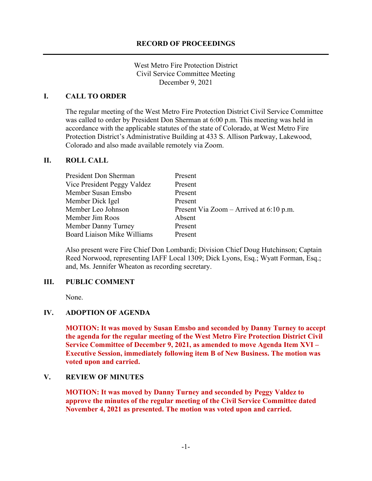West Metro Fire Protection District Civil Service Committee Meeting December 9, 2021

#### **I. CALL TO ORDER**

The regular meeting of the West Metro Fire Protection District Civil Service Committee was called to order by President Don Sherman at 6:00 p.m. This meeting was held in accordance with the applicable statutes of the state of Colorado, at West Metro Fire Protection District's Administrative Building at 433 S. Allison Parkway, Lakewood, Colorado and also made available remotely via Zoom.

#### **II. ROLL CALL**

| President Don Sherman              | Present                                   |
|------------------------------------|-------------------------------------------|
| Vice President Peggy Valdez        | Present                                   |
| Member Susan Emsbo                 | Present                                   |
| Member Dick Igel                   | Present                                   |
| Member Leo Johnson                 | Present Via Zoom – Arrived at $6:10$ p.m. |
| Member Jim Roos                    | Absent                                    |
| Member Danny Turney                | Present                                   |
| <b>Board Liaison Mike Williams</b> | Present                                   |

Also present were Fire Chief Don Lombardi; Division Chief Doug Hutchinson; Captain Reed Norwood, representing IAFF Local 1309; Dick Lyons, Esq.; Wyatt Forman, Esq.; and, Ms. Jennifer Wheaton as recording secretary.

#### **III. PUBLIC COMMENT**

None.

#### **IV. ADOPTION OF AGENDA**

**MOTION: It was moved by Susan Emsbo and seconded by Danny Turney to accept the agenda for the regular meeting of the West Metro Fire Protection District Civil Service Committee of December 9, 2021, as amended to move Agenda Item XVI – Executive Session, immediately following item B of New Business. The motion was voted upon and carried.**

#### **V. REVIEW OF MINUTES**

**MOTION: It was moved by Danny Turney and seconded by Peggy Valdez to approve the minutes of the regular meeting of the Civil Service Committee dated November 4, 2021 as presented. The motion was voted upon and carried.**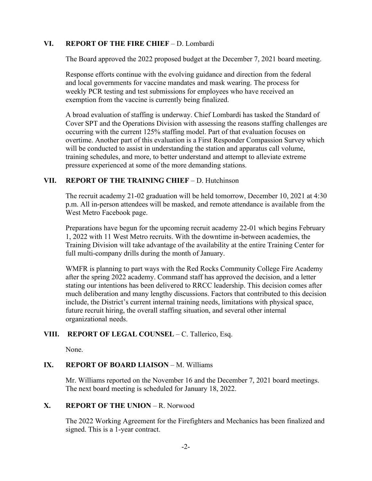# **VI. REPORT OF THE FIRE CHIEF** – D. Lombardi

The Board approved the 2022 proposed budget at the December 7, 2021 board meeting.

Response efforts continue with the evolving guidance and direction from the federal and local governments for vaccine mandates and mask wearing. The process for weekly PCR testing and test submissions for employees who have received an exemption from the vaccine is currently being finalized.

A broad evaluation of staffing is underway. Chief Lombardi has tasked the Standard of Cover SPT and the Operations Division with assessing the reasons staffing challenges are occurring with the current 125% staffing model. Part of that evaluation focuses on overtime. Another part of this evaluation is a First Responder Compassion Survey which will be conducted to assist in understanding the station and apparatus call volume, training schedules, and more, to better understand and attempt to alleviate extreme pressure experienced at some of the more demanding stations.

# **VII. REPORT OF THE TRAINING CHIEF** – D. Hutchinson

The recruit academy 21-02 graduation will be held tomorrow, December 10, 2021 at 4:30 p.m. All in-person attendees will be masked, and remote attendance is available from the West Metro Facebook page.

Preparations have begun for the upcoming recruit academy 22-01 which begins February 1, 2022 with 11 West Metro recruits. With the downtime in-between academies, the Training Division will take advantage of the availability at the entire Training Center for full multi-company drills during the month of January.

WMFR is planning to part ways with the Red Rocks Community College Fire Academy after the spring 2022 academy. Command staff has approved the decision, and a letter stating our intentions has been delivered to RRCC leadership. This decision comes after much deliberation and many lengthy discussions. Factors that contributed to this decision include, the District's current internal training needs, limitations with physical space, future recruit hiring, the overall staffing situation, and several other internal organizational needs.

# **VIII. REPORT OF LEGAL COUNSEL** – C. Tallerico, Esq.

None.

# **IX. REPORT OF BOARD LIAISON - M. Williams**

Mr. Williams reported on the November 16 and the December 7, 2021 board meetings. The next board meeting is scheduled for January 18, 2022.

# **X. REPORT OF THE UNION** – R. Norwood

The 2022 Working Agreement for the Firefighters and Mechanics has been finalized and signed. This is a 1-year contract.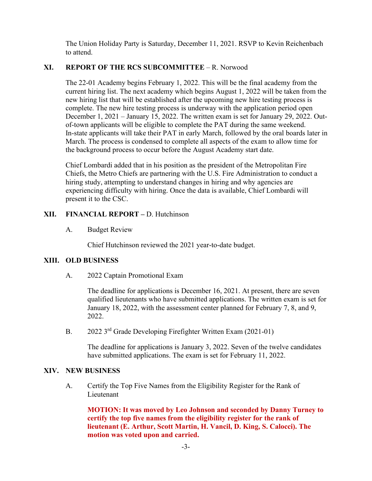The Union Holiday Party is Saturday, December 11, 2021. RSVP to Kevin Reichenbach to attend.

# **XI. REPORT OF THE RCS SUBCOMMITTEE** – R. Norwood

The 22-01 Academy begins February 1, 2022. This will be the final academy from the current hiring list. The next academy which begins August 1, 2022 will be taken from the new hiring list that will be established after the upcoming new hire testing process is complete. The new hire testing process is underway with the application period open December 1, 2021 – January 15, 2022. The written exam is set for January 29, 2022. Outof-town applicants will be eligible to complete the PAT during the same weekend. In-state applicants will take their PAT in early March, followed by the oral boards later in March. The process is condensed to complete all aspects of the exam to allow time for the background process to occur before the August Academy start date.

Chief Lombardi added that in his position as the president of the Metropolitan Fire Chiefs, the Metro Chiefs are partnering with the U.S. Fire Administration to conduct a hiring study, attempting to understand changes in hiring and why agencies are experiencing difficulty with hiring. Once the data is available, Chief Lombardi will present it to the CSC.

# **XII. FINANCIAL REPORT –** D. Hutchinson

A. Budget Review

Chief Hutchinson reviewed the 2021 year-to-date budget.

# **XIII. OLD BUSINESS**

A. 2022 Captain Promotional Exam

The deadline for applications is December 16, 2021. At present, there are seven qualified lieutenants who have submitted applications. The written exam is set for January 18, 2022, with the assessment center planned for February 7, 8, and 9, 2022.

B. 2022 3<sup>rd</sup> Grade Developing Firefighter Written Exam (2021-01)

The deadline for applications is January 3, 2022. Seven of the twelve candidates have submitted applications. The exam is set for February 11, 2022.

# **XIV. NEW BUSINESS**

A. Certify the Top Five Names from the Eligibility Register for the Rank of Lieutenant

**MOTION: It was moved by Leo Johnson and seconded by Danny Turney to certify the top five names from the eligibility register for the rank of lieutenant (E. Arthur, Scott Martin, H. Vancil, D. King, S. Calocci). The motion was voted upon and carried.**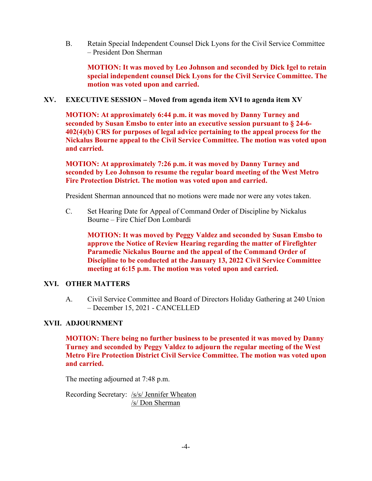B. Retain Special Independent Counsel Dick Lyons for the Civil Service Committee – President Don Sherman

**MOTION: It was moved by Leo Johnson and seconded by Dick Igel to retain special independent counsel Dick Lyons for the Civil Service Committee. The motion was voted upon and carried.**

**XV. EXECUTIVE SESSION – Moved from agenda item XVI to agenda item XV**

**MOTION: At approximately 6:44 p.m. it was moved by Danny Turney and seconded by Susan Emsbo to enter into an executive session pursuant to § 24-6- 402(4)(b) CRS for purposes of legal advice pertaining to the appeal process for the Nickalus Bourne appeal to the Civil Service Committee. The motion was voted upon and carried.**

**MOTION: At approximately 7:26 p.m. it was moved by Danny Turney and seconded by Leo Johnson to resume the regular board meeting of the West Metro Fire Protection District. The motion was voted upon and carried.**

President Sherman announced that no motions were made nor were any votes taken.

C. Set Hearing Date for Appeal of Command Order of Discipline by Nickalus Bourne – Fire Chief Don Lombardi

**MOTION: It was moved by Peggy Valdez and seconded by Susan Emsbo to approve the Notice of Review Hearing regarding the matter of Firefighter Paramedic Nickalus Bourne and the appeal of the Command Order of Discipline to be conducted at the January 13, 2022 Civil Service Committee meeting at 6:15 p.m. The motion was voted upon and carried.** 

#### **XVI. OTHER MATTERS**

A. Civil Service Committee and Board of Directors Holiday Gathering at 240 Union – December 15, 2021 - CANCELLED

#### **XVII. ADJOURNMENT**

**MOTION: There being no further business to be presented it was moved by Danny Turney and seconded by Peggy Valdez to adjourn the regular meeting of the West Metro Fire Protection District Civil Service Committee. The motion was voted upon and carried.**

The meeting adjourned at 7:48 p.m.

Recording Secretary: /s/s/ Jennifer Wheaton /s/ Don Sherman